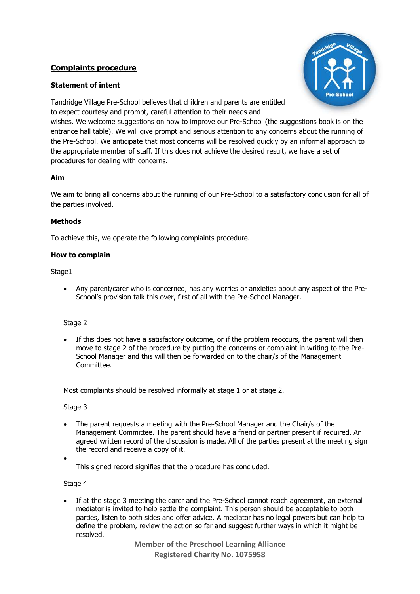# **Complaints procedure**

## **Statement of intent**



Tandridge Village Pre-School believes that children and parents are entitled to expect courtesy and prompt, careful attention to their needs and

wishes. We welcome suggestions on how to improve our Pre-School (the suggestions book is on the entrance hall table). We will give prompt and serious attention to any concerns about the running of the Pre-School. We anticipate that most concerns will be resolved quickly by an informal approach to the appropriate member of staff. If this does not achieve the desired result, we have a set of procedures for dealing with concerns.

## **Aim**

We aim to bring all concerns about the running of our Pre-School to a satisfactory conclusion for all of the parties involved.

## **Methods**

To achieve this, we operate the following complaints procedure.

#### **How to complain**

#### Stage1

• Any parent/carer who is concerned, has any worries or anxieties about any aspect of the Pre-School's provision talk this over, first of all with the Pre-School Manager.

## Stage 2

If this does not have a satisfactory outcome, or if the problem reoccurs, the parent will then move to stage 2 of the procedure by putting the concerns or complaint in writing to the Pre-School Manager and this will then be forwarded on to the chair/s of the Management Committee.

Most complaints should be resolved informally at stage 1 or at stage 2.

#### Stage 3

- The parent requests a meeting with the Pre-School Manager and the Chair/s of the Management Committee. The parent should have a friend or partner present if required. An agreed written record of the discussion is made. All of the parties present at the meeting sign the record and receive a copy of it.
- •

This signed record signifies that the procedure has concluded.

#### Stage 4

If at the stage 3 meeting the carer and the Pre-School cannot reach agreement, an external mediator is invited to help settle the complaint. This person should be acceptable to both parties, listen to both sides and offer advice. A mediator has no legal powers but can help to define the problem, review the action so far and suggest further ways in which it might be resolved.

> **Member of the Preschool Learning Alliance Registered Charity No. 1075958**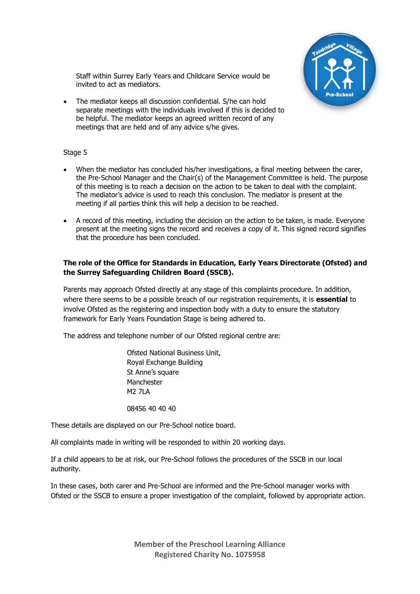

Staff within Surrey Early Years and Childcare Service would be invited to act as mediators.

• The mediator keeps all discussion confidential. S/he can hold separate meetings with the individuals involved if this is decided to be helpful. The mediator keeps an agreed written record of any meetings that are held and of any advice s/he gives.

#### Stage 5

- When the mediator has concluded his/her investigations, a final meeting between the carer, the Pre-School Manager and the Chair(s) of the Management Committee is held. The purpose of this meeting is to reach a decision on the action to be taken to deal with the complaint. The mediator's advice is used to reach this conclusion. The mediator is present at the meeting if all parties think this will help a decision to be reached.
- A record of this meeting, including the decision on the action to be taken, is made. Everyone present at the meeting signs the record and receives a copy of it. This signed record signifies that the procedure has been concluded.

#### **The role of the Office for Standards in Education, Early Years Directorate (Ofsted) and the Surrey Safeguarding Children Board (SSCB).**

Parents may approach Ofsted directly at any stage of this complaints procedure. In addition, where there seems to be a possible breach of our registration requirements, it is **essential** to involve Ofsted as the registering and inspection body with a duty to ensure the statutory framework for Early Years Foundation Stage is being adhered to.

The address and telephone number of our Ofsted regional centre are:

Ofsted National Business Unit, Royal Exchange Building St Anne's square Manchester M2 7LA

08456 40 40 40

These details are displayed on our Pre-School notice board.

All complaints made in writing will be responded to within 20 working days.

If a child appears to be at risk, our Pre-School follows the procedures of the SSCB in our local authority.

In these cases, both carer and Pre-School are informed and the Pre-School manager works with Ofsted or the SSCB to ensure a proper investigation of the complaint, followed by appropriate action.

> **Member of the Preschool Learning Alliance Registered Charity No. 1075958**